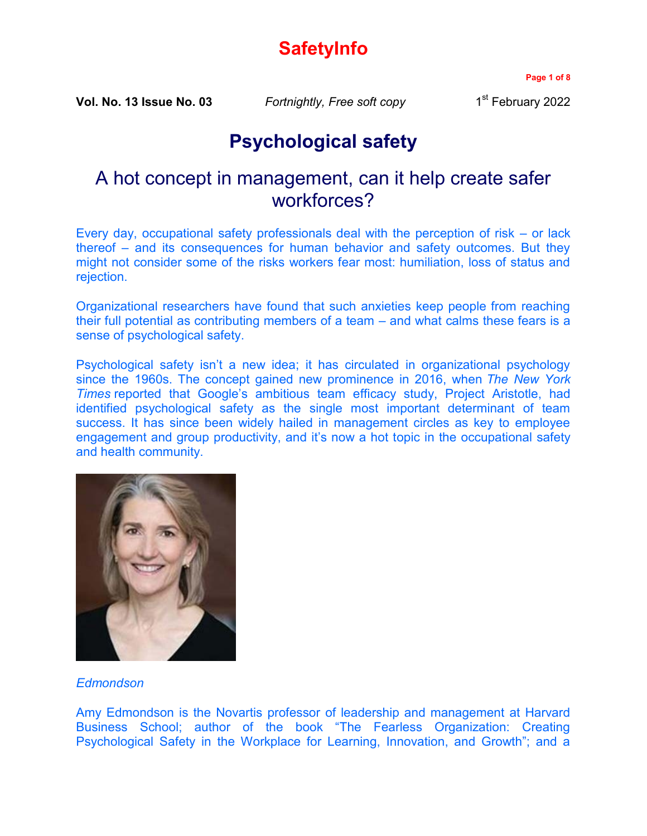# **SafetyInfo**

**Page 1 of 8**

**Vol. No. 13 Issue No. 03** *Fortnightly, Free soft copy* 1

1<sup>st</sup> February 2022

## **Psychological safety**

### A hot concept in management, can it help create safer workforces?

Every day, occupational safety professionals deal with the perception of risk – or lack thereof – and its consequences for human behavior and safety outcomes. But they might not consider some of the risks workers fear most: humiliation, loss of status and rejection.

Organizational researchers have found that such anxieties keep people from reaching their full potential as contributing members of a team – and what calms these fears is a sense of psychological safety.

Psychological safety isn't a new idea; it has circulated in organizational psychology since the 1960s. The concept gained new prominence in 2016, when *The New York Times* reported that Google's ambitious team efficacy study, Project Aristotle, had identified psychological safety as the single most important determinant of team success. It has since been widely hailed in management circles as key to employee engagement and group productivity, and it's now a hot topic in the occupational safety and health community.



#### *Edmondson*

Amy Edmondson is the Novartis professor of leadership and management at Harvard Business School; author of the book "The Fearless Organization: Creating Psychological Safety in the Workplace for Learning, Innovation, and Growth"; and a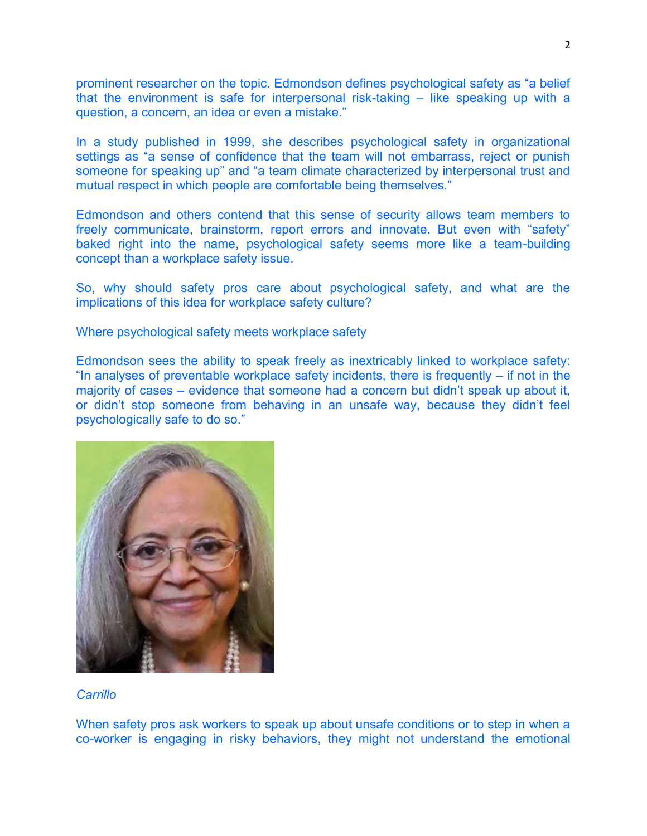prominent researcher on the topic. Edmondson defines psychological safety as "a belief that the environment is safe for interpersonal risk-taking – like speaking up with a question, a concern, an idea or even a mistake."

In a study published in 1999, she describes psychological safety in organizational settings as "a sense of confidence that the team will not embarrass, reject or punish someone for speaking up" and "a team climate characterized by interpersonal trust and mutual respect in which people are comfortable being themselves."

Edmondson and others contend that this sense of security allows team members to freely communicate, brainstorm, report errors and innovate. But even with "safety" baked right into the name, psychological safety seems more like a team-building concept than a workplace safety issue.

So, why should safety pros care about psychological safety, and what are the implications of this idea for workplace safety culture?

Where psychological safety meets workplace safety

Edmondson sees the ability to speak freely as inextricably linked to workplace safety: "In analyses of preventable workplace safety incidents, there is frequently – if not in the majority of cases – evidence that someone had a concern but didn't speak up about it, or didn't stop someone from behaving in an unsafe way, because they didn't feel psychologically safe to do so."



#### *Carrillo*

When safety pros ask workers to speak up about unsafe conditions or to step in when a co-worker is engaging in risky behaviors, they might not understand the emotional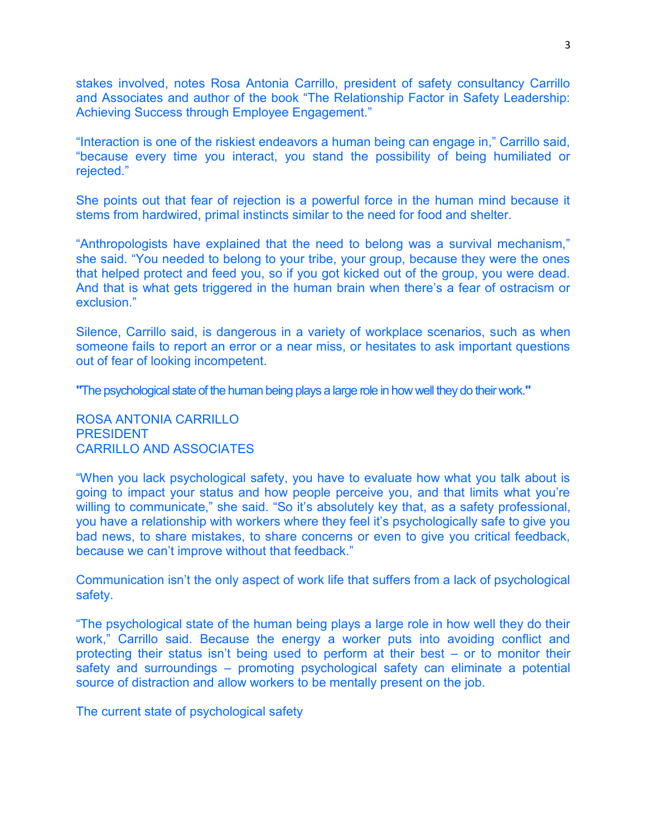stakes involved, notes Rosa Antonia Carrillo, president of safety consultancy Carrillo and Associates and author of the book "The Relationship Factor in Safety Leadership: Achieving Success through Employee Engagement."

"Interaction is one of the riskiest endeavors a human being can engage in," Carrillo said, "because every time you interact, you stand the possibility of being humiliated or rejected."

She points out that fear of rejection is a powerful force in the human mind because it stems from hardwired, primal instincts similar to the need for food and shelter.

"Anthropologists have explained that the need to belong was a survival mechanism," she said. "You needed to belong to your tribe, your group, because they were the ones that helped protect and feed you, so if you got kicked out of the group, you were dead. And that is what gets triggered in the human brain when there's a fear of ostracism or exclusion."

Silence, Carrillo said, is dangerous in a variety of workplace scenarios, such as when someone fails to report an error or a near miss, or hesitates to ask important questions out of fear of looking incompetent.

**"**The psychological state of the human being plays a large role in how well they do their work.**"**

ROSA ANTONIA CARRILLO PRESIDENT CARRILLO AND ASSOCIATES

"When you lack psychological safety, you have to evaluate how what you talk about is going to impact your status and how people perceive you, and that limits what you're willing to communicate," she said. "So it's absolutely key that, as a safety professional, you have a relationship with workers where they feel it's psychologically safe to give you bad news, to share mistakes, to share concerns or even to give you critical feedback, because we can't improve without that feedback."

Communication isn't the only aspect of work life that suffers from a lack of psychological safety.

"The psychological state of the human being plays a large role in how well they do their work," Carrillo said. Because the energy a worker puts into avoiding conflict and protecting their status isn't being used to perform at their best – or to monitor their safety and surroundings – promoting psychological safety can eliminate a potential source of distraction and allow workers to be mentally present on the job.

The current state of psychological safety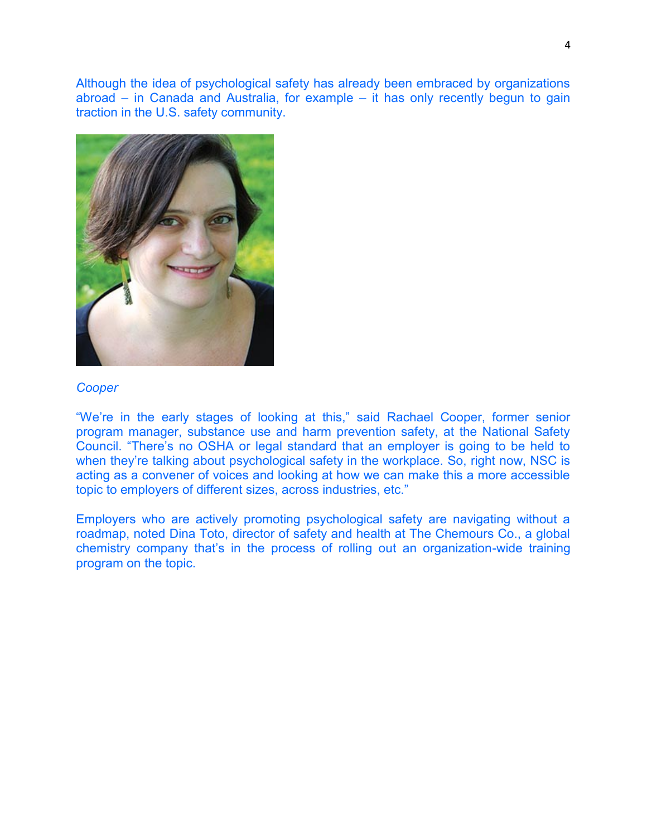Although the idea of psychological safety has already been embraced by organizations abroad – in Canada and Australia, for example – it has only recently begun to gain traction in the U.S. safety community.



#### *Cooper*

"We're in the early stages of looking at this," said Rachael Cooper, former senior program manager, substance use and harm prevention safety, at the National Safety Council. "There's no OSHA or legal standard that an employer is going to be held to when they're talking about psychological safety in the workplace. So, right now, NSC is acting as a convener of voices and looking at how we can make this a more accessible topic to employers of different sizes, across industries, etc."

Employers who are actively promoting psychological safety are navigating without a roadmap, noted Dina Toto, director of safety and health at The Chemours Co., a global chemistry company that's in the process of rolling out an organization-wide training program on the topic.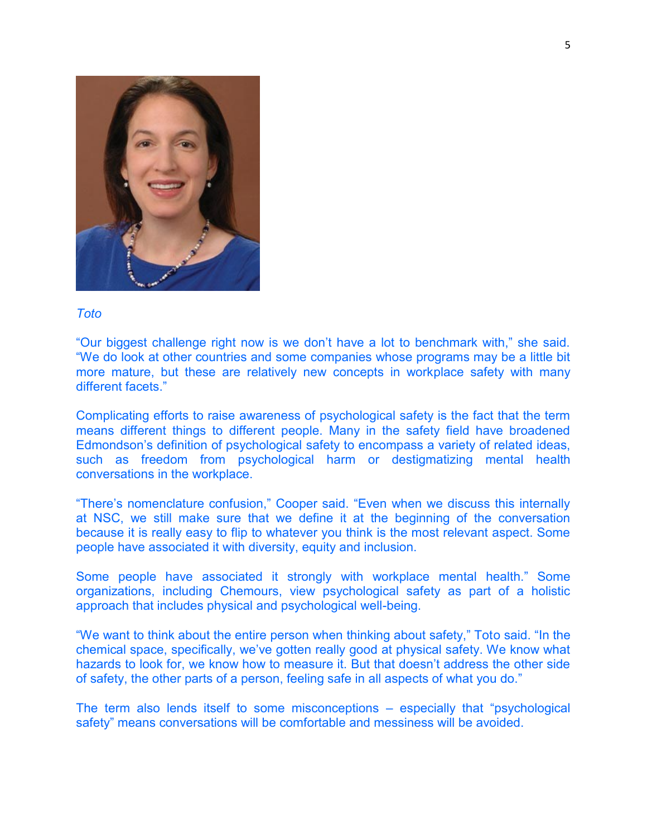

#### *Toto*

"Our biggest challenge right now is we don't have a lot to benchmark with," she said. "We do look at other countries and some companies whose programs may be a little bit more mature, but these are relatively new concepts in workplace safety with many different facets."

Complicating efforts to raise awareness of psychological safety is the fact that the term means different things to different people. Many in the safety field have broadened Edmondson's definition of psychological safety to encompass a variety of related ideas, such as freedom from psychological harm or destigmatizing mental health conversations in the workplace.

"There's nomenclature confusion," Cooper said. "Even when we discuss this internally at NSC, we still make sure that we define it at the beginning of the conversation because it is really easy to flip to whatever you think is the most relevant aspect. Some people have associated it with diversity, equity and inclusion.

Some people have associated it strongly with workplace mental health." Some organizations, including Chemours, view psychological safety as part of a holistic approach that includes physical and psychological well-being.

"We want to think about the entire person when thinking about safety," Toto said. "In the chemical space, specifically, we've gotten really good at physical safety. We know what hazards to look for, we know how to measure it. But that doesn't address the other side of safety, the other parts of a person, feeling safe in all aspects of what you do."

The term also lends itself to some misconceptions – especially that "psychological safety" means conversations will be comfortable and messiness will be avoided.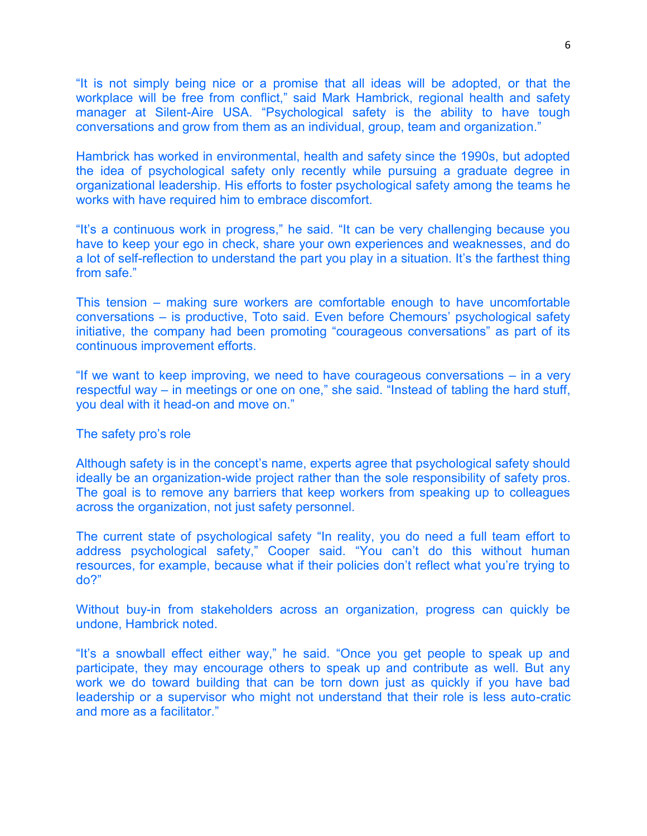"It is not simply being nice or a promise that all ideas will be adopted, or that the workplace will be free from conflict," said Mark Hambrick, regional health and safety manager at Silent-Aire USA. "Psychological safety is the ability to have tough conversations and grow from them as an individual, group, team and organization."

Hambrick has worked in environmental, health and safety since the 1990s, but adopted the idea of psychological safety only recently while pursuing a graduate degree in organizational leadership. His efforts to foster psychological safety among the teams he works with have required him to embrace discomfort.

"It's a continuous work in progress," he said. "It can be very challenging because you have to keep your ego in check, share your own experiences and weaknesses, and do a lot of self-reflection to understand the part you play in a situation. It's the farthest thing from safe."

This tension – making sure workers are comfortable enough to have uncomfortable conversations – is productive, Toto said. Even before Chemours' psychological safety initiative, the company had been promoting "courageous conversations" as part of its continuous improvement efforts.

"If we want to keep improving, we need to have courageous conversations – in a very respectful way – in meetings or one on one," she said. "Instead of tabling the hard stuff, you deal with it head-on and move on."

#### The safety pro's role

Although safety is in the concept's name, experts agree that psychological safety should ideally be an organization-wide project rather than the sole responsibility of safety pros. The goal is to remove any barriers that keep workers from speaking up to colleagues across the organization, not just safety personnel.

The current state of psychological safety "In reality, you do need a full team effort to address psychological safety," Cooper said. "You can't do this without human resources, for example, because what if their policies don't reflect what you're trying to do?"

Without buy-in from stakeholders across an organization, progress can quickly be undone, Hambrick noted.

"It's a snowball effect either way," he said. "Once you get people to speak up and participate, they may encourage others to speak up and contribute as well. But any work we do toward building that can be torn down just as quickly if you have bad leadership or a supervisor who might not understand that their role is less auto-cratic and more as a facilitator."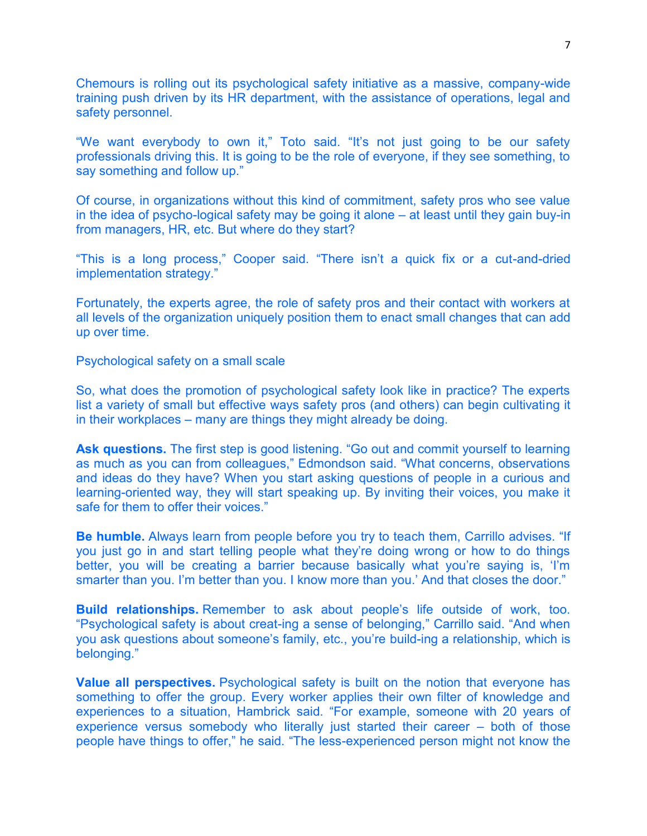Chemours is rolling out its psychological safety initiative as a massive, company-wide training push driven by its HR department, with the assistance of operations, legal and safety personnel.

"We want everybody to own it," Toto said. "It's not just going to be our safety professionals driving this. It is going to be the role of everyone, if they see something, to say something and follow up."

Of course, in organizations without this kind of commitment, safety pros who see value in the idea of psycho-logical safety may be going it alone – at least until they gain buy-in from managers, HR, etc. But where do they start?

"This is a long process," Cooper said. "There isn't a quick fix or a cut-and-dried implementation strategy."

Fortunately, the experts agree, the role of safety pros and their contact with workers at all levels of the organization uniquely position them to enact small changes that can add up over time.

Psychological safety on a small scale

So, what does the promotion of psychological safety look like in practice? The experts list a variety of small but effective ways safety pros (and others) can begin cultivating it in their workplaces – many are things they might already be doing.

Ask questions. The first step is good listening. "Go out and commit yourself to learning as much as you can from colleagues," Edmondson said. "What concerns, observations and ideas do they have? When you start asking questions of people in a curious and learning-oriented way, they will start speaking up. By inviting their voices, you make it safe for them to offer their voices."

**Be humble.** Always learn from people before you try to teach them, Carrillo advises. "If you just go in and start telling people what they're doing wrong or how to do things better, you will be creating a barrier because basically what you're saying is, 'I'm smarter than you. I'm better than you. I know more than you.' And that closes the door."

**Build relationships.** Remember to ask about people's life outside of work, too. "Psychological safety is about creat-ing a sense of belonging," Carrillo said. "And when you ask questions about someone's family, etc., you're build-ing a relationship, which is belonging."

**Value all perspectives.** Psychological safety is built on the notion that everyone has something to offer the group. Every worker applies their own filter of knowledge and experiences to a situation, Hambrick said. "For example, someone with 20 years of experience versus somebody who literally just started their career – both of those people have things to offer," he said. "The less-experienced person might not know the